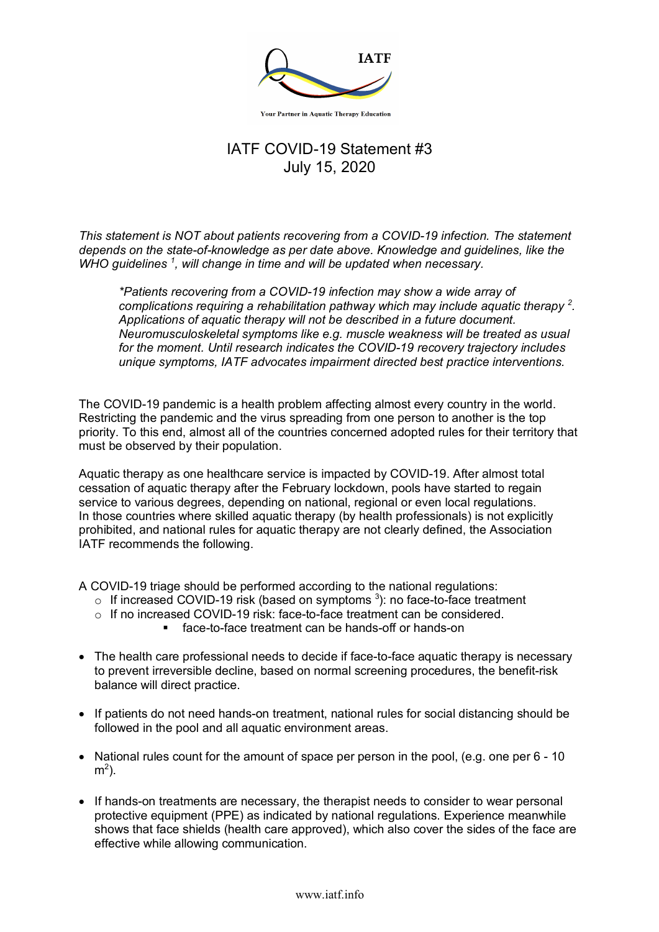

**Your Partner in Aquatic Therapy Education** 

## IATF COVID-19 Statement #3 July 15, 2020

*This statement is NOT about patients recovering from a COVID-19 infection. The statement depends on the state-of-knowledge as per date above. Knowledge and guidelines, like the WHO guidelines <sup>1</sup> , will change in time and will be updated when necessary.*

*\*Patients recovering from a COVID-19 infection may show a wide array of complications requiring a rehabilitation pathway which may include aquatic therapy <sup>2</sup> . Applications of aquatic therapy will not be described in a future document. Neuromusculoskeletal symptoms like e.g. muscle weakness will be treated as usual for the moment. Until research indicates the COVID-19 recovery trajectory includes unique symptoms, IATF advocates impairment directed best practice interventions.*

The COVID-19 pandemic is a health problem affecting almost every country in the world. Restricting the pandemic and the virus spreading from one person to another is the top priority. To this end, almost all of the countries concerned adopted rules for their territory that must be observed by their population.

Aquatic therapy as one healthcare service is impacted by COVID-19. After almost total cessation of aquatic therapy after the February lockdown, pools have started to regain service to various degrees, depending on national, regional or even local regulations. In those countries where skilled aquatic therapy (by health professionals) is not explicitly prohibited, and national rules for aquatic therapy are not clearly defined, the Association IATF recommends the following.

A COVID-19 triage should be performed according to the national regulations:

- $\circ$  If increased COVID-19 risk (based on symptoms  $^3$ ): no face-to-face treatment
- o If no increased COVID-19 risk: face-to-face treatment can be considered.
	- face-to-face treatment can be hands-off or hands-on
- The health care professional needs to decide if face-to-face aquatic therapy is necessary to prevent irreversible decline, based on normal screening procedures, the benefit-risk balance will direct practice.
- If patients do not need hands-on treatment, national rules for social distancing should be followed in the pool and all aquatic environment areas.
- National rules count for the amount of space per person in the pool, (e.g. one per 6 10  $m<sup>2</sup>$ ).
- If hands-on treatments are necessary, the therapist needs to consider to wear personal protective equipment (PPE) as indicated by national regulations. Experience meanwhile shows that face shields (health care approved), which also cover the sides of the face are effective while allowing communication.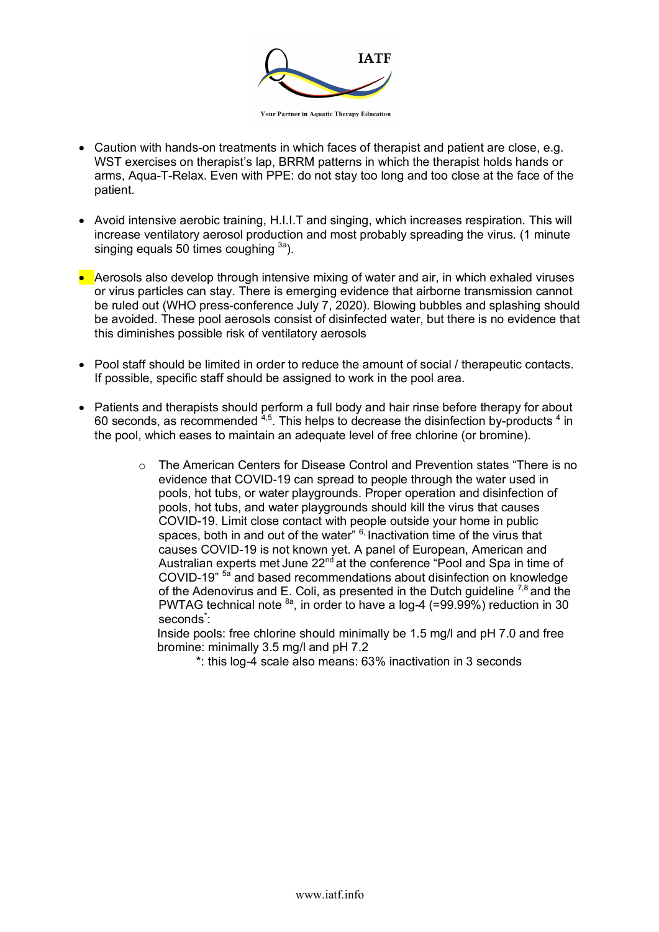

**Your Partner in Aquatic Therapy Education** 

- Caution with hands-on treatments in which faces of therapist and patient are close, e.g. WST exercises on therapist's lap, BRRM patterns in which the therapist holds hands or arms, Aqua-T-Relax. Even with PPE: do not stay too long and too close at the face of the patient.
- Avoid intensive aerobic training, H.I.I.T and singing, which increases respiration. This will increase ventilatory aerosol production and most probably spreading the virus. (1 minute singing equals 50 times coughing  $3a$ ).
- Aerosols also develop through intensive mixing of water and air, in which exhaled viruses or virus particles can stay. There is emerging evidence that airborne transmission cannot be ruled out (WHO press-conference July 7, 2020). Blowing bubbles and splashing should be avoided. These pool aerosols consist of disinfected water, but there is no evidence that this diminishes possible risk of ventilatory aerosols
- Pool staff should be limited in order to reduce the amount of social / therapeutic contacts. If possible, specific staff should be assigned to work in the pool area.
- Patients and therapists should perform a full body and hair rinse before therapy for about 60 seconds, as recommended  $4.5$ . This helps to decrease the disinfection by-products  $4$  in the pool, which eases to maintain an adequate level of free chlorine (or bromine).
	- $\circ$  The American Centers for Disease Control and Prevention states "There is no evidence that COVID-19 can spread to people through the water used in pools, hot tubs, or water playgrounds. Proper operation and disinfection of pools, hot tubs, and water playgrounds should kill the virus that causes COVID-19. Limit close contact with people outside your home in public spaces, both in and out of the water"  $6$ , Inactivation time of the virus that causes COVID-19 is not known yet. A panel of European, American and Australian experts met June  $22<sup>nd</sup>$  at the conference "Pool and Spa in time of COVID-19" 5a and based recommendations about disinfection on knowledge of the Adenovirus and E. Coli, as presented in the Dutch guideline  $^{7,8}$  and the PWTAG technical note  $^{8a}$ , in order to have a log-4 (=99.99%) reduction in 30 seconds<sup>\*</sup>:

Inside pools: free chlorine should minimally be 1.5 mg/l and pH 7.0 and free bromine: minimally 3.5 mg/l and pH 7.2

\*: this log-4 scale also means: 63% inactivation in 3 seconds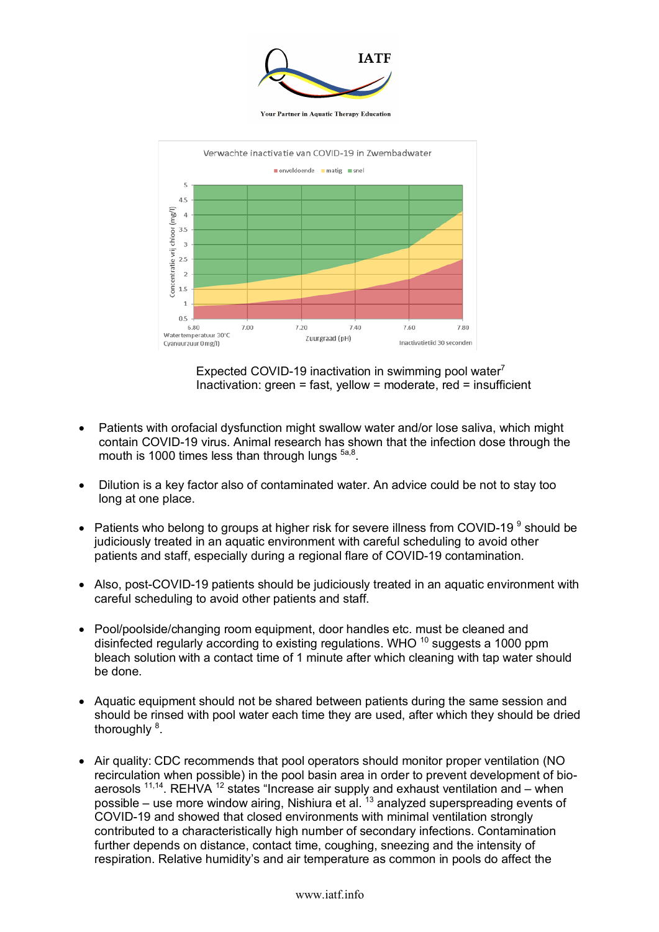

**Your Partner in Aquatic Therapy Education** 



Expected COVID-19 inactivation in swimming pool water<sup>7</sup> Inactivation: green = fast, yellow = moderate, red = insufficient

- Patients with orofacial dysfunction might swallow water and/or lose saliva, which might contain COVID-19 virus. Animal research has shown that the infection dose through the mouth is 1000 times less than through lungs  $5a,8$ .
- Dilution is a key factor also of contaminated water. An advice could be not to stay too long at one place.
- Patients who belong to groups at higher risk for severe illness from COVID-19 $\degree$  should be judiciously treated in an aquatic environment with careful scheduling to avoid other patients and staff, especially during a regional flare of COVID-19 contamination.
- Also, post-COVID-19 patients should be judiciously treated in an aquatic environment with careful scheduling to avoid other patients and staff.
- Pool/poolside/changing room equipment, door handles etc. must be cleaned and disinfected regularly according to existing regulations. WHO <sup>10</sup> suggests a 1000 ppm bleach solution with a contact time of 1 minute after which cleaning with tap water should be done.
- Aquatic equipment should not be shared between patients during the same session and should be rinsed with pool water each time they are used, after which they should be dried thoroughly <sup>8</sup>.
- Air quality: CDC recommends that pool operators should monitor proper ventilation (NO recirculation when possible) in the pool basin area in order to prevent development of bioaerosols  $^{11,14}$ . REHVA  $^{12}$  states "Increase air supply and exhaust ventilation and – when possible – use more window airing, Nishiura et al.  $^{13}$  analyzed superspreading events of COVID-19 and showed that closed environments with minimal ventilation strongly contributed to a characteristically high number of secondary infections. Contamination further depends on distance, contact time, coughing, sneezing and the intensity of respiration. Relative humidity's and air temperature as common in pools do affect the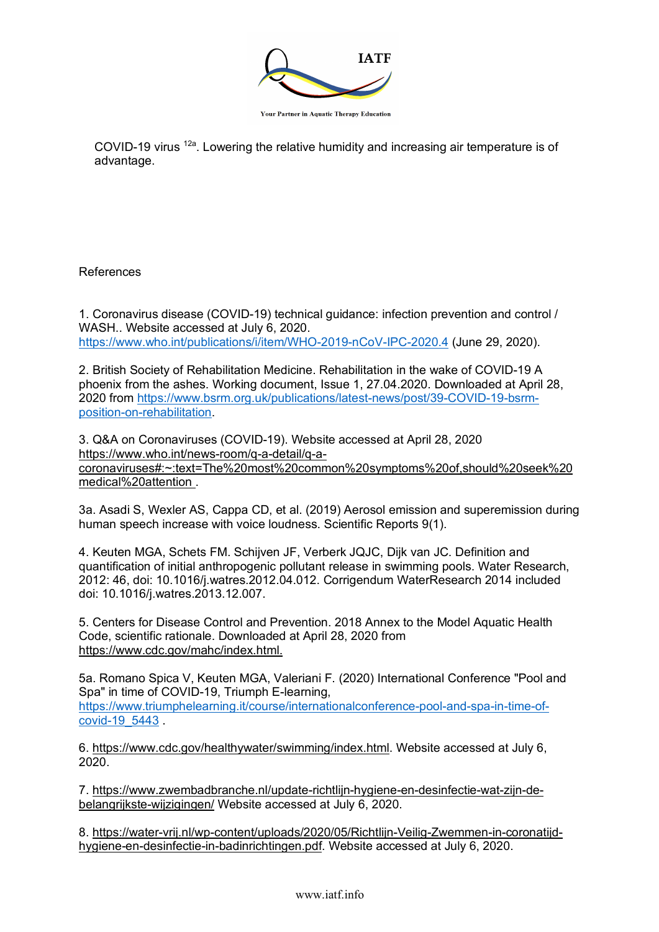

**Your Partner in Aquatic Therapy Education** 

COVID-19 virus <sup>12a</sup>. Lowering the relative humidity and increasing air temperature is of advantage.

References

1. Coronavirus disease (COVID-19) technical guidance: infection prevention and control / WASH.. Website accessed at July 6, 2020. https://www.who.int/publications/i/item/WHO-2019-nCoV-IPC-2020.4 (June 29, 2020).

2. British Society of Rehabilitation Medicine. Rehabilitation in the wake of COVID-19 A phoenix from the ashes. Working document, Issue 1, 27.04.2020. Downloaded at April 28, 2020 from https://www.bsrm.org.uk/publications/latest-news/post/39-COVID-19-bsrmposition-on-rehabilitation.

3. Q&A on Coronaviruses (COVID-19). Website accessed at April 28, 2020 https://www.who.int/news-room/q-a-detail/q-acoronaviruses#:~:text=The%20most%20common%20symptoms%20of,should%20seek%20 medical%20attention .

3a. Asadi S, Wexler AS, Cappa CD, et al. (2019) Aerosol emission and superemission during human speech increase with voice loudness. Scientific Reports 9(1).

4. Keuten MGA, Schets FM. Schijven JF, Verberk JQJC, Dijk van JC. Definition and quantification of initial anthropogenic pollutant release in swimming pools. Water Research, 2012: 46, doi: 10.1016/j.watres.2012.04.012. Corrigendum WaterResearch 2014 included doi: 10.1016/j.watres.2013.12.007.

5. Centers for Disease Control and Prevention. 2018 Annex to the Model Aquatic Health Code, scientific rationale. Downloaded at April 28, 2020 from https://www.cdc.gov/mahc/index.html.

5a. Romano Spica V, Keuten MGA, Valeriani F. (2020) International Conference "Pool and Spa" in time of COVID-19, Triumph E-learning, https://www.triumphelearning.it/course/internationalconference-pool-and-spa-in-time-ofcovid-19\_5443 .

6. https://www.cdc.gov/healthywater/swimming/index.html. Website accessed at July 6, 2020.

7. https://www.zwembadbranche.nl/update-richtlijn-hygiene-en-desinfectie-wat-zijn-debelangrijkste-wijzigingen/ Website accessed at July 6, 2020.

8. https://water-vrij.nl/wp-content/uploads/2020/05/Richtlijn-Veilig-Zwemmen-in-coronatijdhygiene-en-desinfectie-in-badinrichtingen.pdf. Website accessed at July 6, 2020.